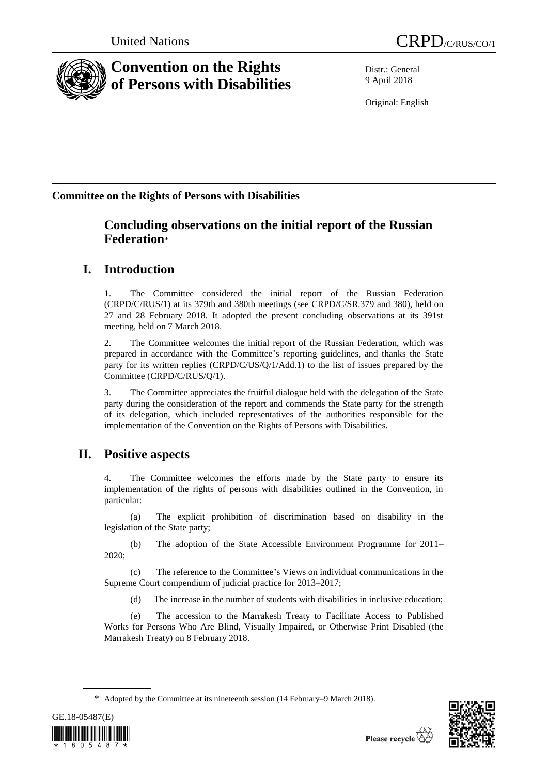



# **Convention on the Rights of Persons with Disabilities**

Distr.: General 9 April 2018

Original: English

## **Committee on the Rights of Persons with Disabilities**

## **Concluding observations on the initial report of the Russian Federation**\*

## **I. Introduction**

1. The Committee considered the initial report of the Russian Federation (CRPD/C/RUS/1) at its 379th and 380th meetings (see CRPD/C/SR.379 and 380), held on 27 and 28 February 2018. It adopted the present concluding observations at its 391st meeting, held on 7 March 2018.

2. The Committee welcomes the initial report of the Russian Federation, which was prepared in accordance with the Committee's reporting guidelines, and thanks the State party for its written replies (CRPD/C/US/Q/1/Add.1) to the list of issues prepared by the Committee (CRPD/C/RUS/Q/1).

3. The Committee appreciates the fruitful dialogue held with the delegation of the State party during the consideration of the report and commends the State party for the strength of its delegation, which included representatives of the authorities responsible for the implementation of the Convention on the Rights of Persons with Disabilities.

## **II. Positive aspects**

The Committee welcomes the efforts made by the State party to ensure its implementation of the rights of persons with disabilities outlined in the Convention, in particular:

(a) The explicit prohibition of discrimination based on disability in the legislation of the State party;

(b) The adoption of the State Accessible Environment Programme for 2011– 2020;

(c) The reference to the Committee's Views on individual communications in the Supreme Court compendium of judicial practice for 2013–2017;

(d) The increase in the number of students with disabilities in inclusive education;

(e) The accession to the Marrakesh Treaty to Facilitate Access to Published Works for Persons Who Are Blind, Visually Impaired, or Otherwise Print Disabled (the Marrakesh Treaty) on 8 February 2018.

<sup>\*</sup> Adopted by the Committee at its nineteenth session (14 February–9 March 2018).



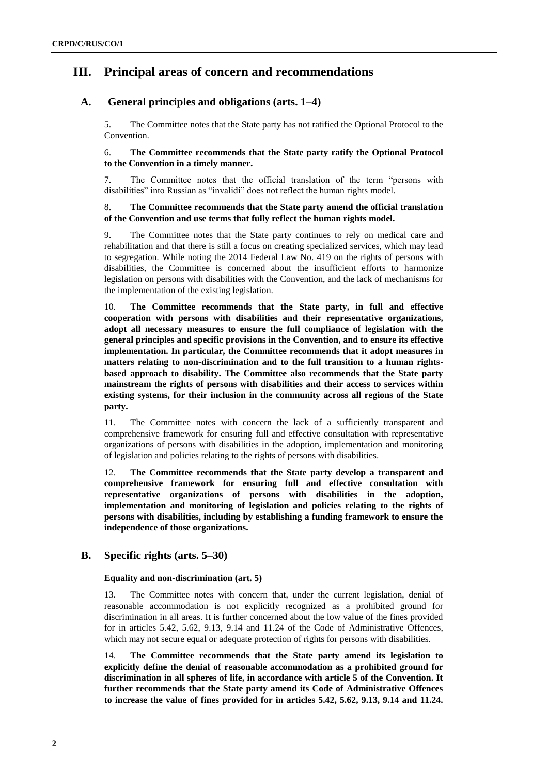## **III. Principal areas of concern and recommendations**

## **A. General principles and obligations (arts. 1–4)**

5. The Committee notes that the State party has not ratified the Optional Protocol to the Convention.

### 6. **The Committee recommends that the State party ratify the Optional Protocol to the Convention in a timely manner.**

7. The Committee notes that the official translation of the term "persons with disabilities" into Russian as "invalidi" does not reflect the human rights model.

### 8. **The Committee recommends that the State party amend the official translation of the Convention and use terms that fully reflect the human rights model.**

9. The Committee notes that the State party continues to rely on medical care and rehabilitation and that there is still a focus on creating specialized services, which may lead to segregation. While noting the 2014 Federal Law No. 419 on the rights of persons with disabilities, the Committee is concerned about the insufficient efforts to harmonize legislation on persons with disabilities with the Convention, and the lack of mechanisms for the implementation of the existing legislation.

10. **The Committee recommends that the State party, in full and effective cooperation with persons with disabilities and their representative organizations, adopt all necessary measures to ensure the full compliance of legislation with the general principles and specific provisions in the Convention, and to ensure its effective implementation. In particular, the Committee recommends that it adopt measures in matters relating to non-discrimination and to the full transition to a human rightsbased approach to disability. The Committee also recommends that the State party mainstream the rights of persons with disabilities and their access to services within existing systems, for their inclusion in the community across all regions of the State party.**

11. The Committee notes with concern the lack of a sufficiently transparent and comprehensive framework for ensuring full and effective consultation with representative organizations of persons with disabilities in the adoption, implementation and monitoring of legislation and policies relating to the rights of persons with disabilities.

12. **The Committee recommends that the State party develop a transparent and comprehensive framework for ensuring full and effective consultation with representative organizations of persons with disabilities in the adoption, implementation and monitoring of legislation and policies relating to the rights of persons with disabilities, including by establishing a funding framework to ensure the independence of those organizations.**

## **B. Specific rights (arts. 5–30)**

### **Equality and non-discrimination (art. 5)**

13. The Committee notes with concern that, under the current legislation, denial of reasonable accommodation is not explicitly recognized as a prohibited ground for discrimination in all areas. It is further concerned about the low value of the fines provided for in articles 5.42, 5.62, 9.13, 9.14 and 11.24 of the Code of Administrative Offences, which may not secure equal or adequate protection of rights for persons with disabilities.

14. **The Committee recommends that the State party amend its legislation to explicitly define the denial of reasonable accommodation as a prohibited ground for discrimination in all spheres of life, in accordance with article 5 of the Convention. It further recommends that the State party amend its Code of Administrative Offences to increase the value of fines provided for in articles 5.42, 5.62, 9.13, 9.14 and 11.24.**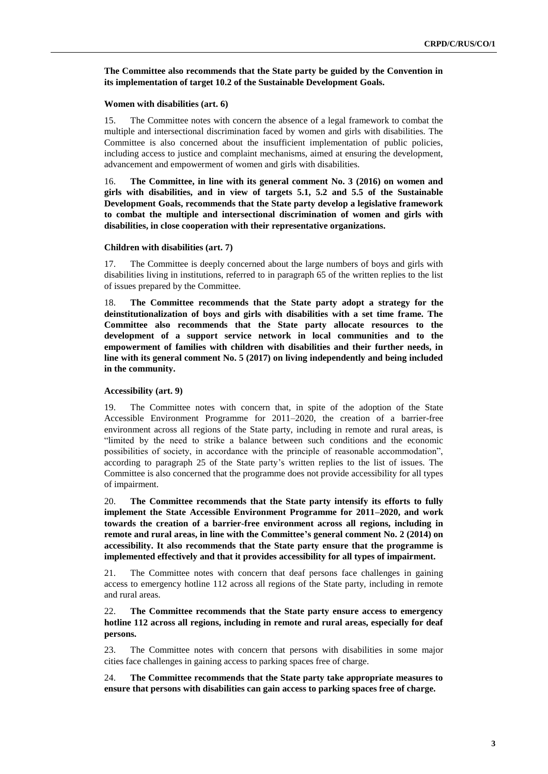#### **The Committee also recommends that the State party be guided by the Convention in its implementation of target 10.2 of the Sustainable Development Goals.**

#### **Women with disabilities (art. 6)**

15. The Committee notes with concern the absence of a legal framework to combat the multiple and intersectional discrimination faced by women and girls with disabilities. The Committee is also concerned about the insufficient implementation of public policies, including access to justice and complaint mechanisms, aimed at ensuring the development, advancement and empowerment of women and girls with disabilities.

16. **The Committee, in line with its general comment No. 3 (2016) on women and girls with disabilities, and in view of targets 5.1, 5.2 and 5.5 of the Sustainable Development Goals, recommends that the State party develop a legislative framework to combat the multiple and intersectional discrimination of women and girls with disabilities, in close cooperation with their representative organizations.**

#### **Children with disabilities (art. 7)**

17. The Committee is deeply concerned about the large numbers of boys and girls with disabilities living in institutions, referred to in paragraph 65 of the written replies to the list of issues prepared by the Committee.

18. **The Committee recommends that the State party adopt a strategy for the deinstitutionalization of boys and girls with disabilities with a set time frame. The Committee also recommends that the State party allocate resources to the development of a support service network in local communities and to the empowerment of families with children with disabilities and their further needs, in line with its general comment No. 5 (2017) on living independently and being included in the community.**

#### **Accessibility (art. 9)**

19. The Committee notes with concern that, in spite of the adoption of the State Accessible Environment Programme for 2011–2020, the creation of a barrier-free environment across all regions of the State party, including in remote and rural areas, is "limited by the need to strike a balance between such conditions and the economic possibilities of society, in accordance with the principle of reasonable accommodation", according to paragraph 25 of the State party's written replies to the list of issues. The Committee is also concerned that the programme does not provide accessibility for all types of impairment.

20. **The Committee recommends that the State party intensify its efforts to fully implement the State Accessible Environment Programme for 2011–2020, and work towards the creation of a barrier-free environment across all regions, including in remote and rural areas, in line with the Committee's general comment No. 2 (2014) on accessibility. It also recommends that the State party ensure that the programme is implemented effectively and that it provides accessibility for all types of impairment.**

21. The Committee notes with concern that deaf persons face challenges in gaining access to emergency hotline 112 across all regions of the State party, including in remote and rural areas.

22. **The Committee recommends that the State party ensure access to emergency hotline 112 across all regions, including in remote and rural areas, especially for deaf persons.**

23. The Committee notes with concern that persons with disabilities in some major cities face challenges in gaining access to parking spaces free of charge.

24. **The Committee recommends that the State party take appropriate measures to ensure that persons with disabilities can gain access to parking spaces free of charge.**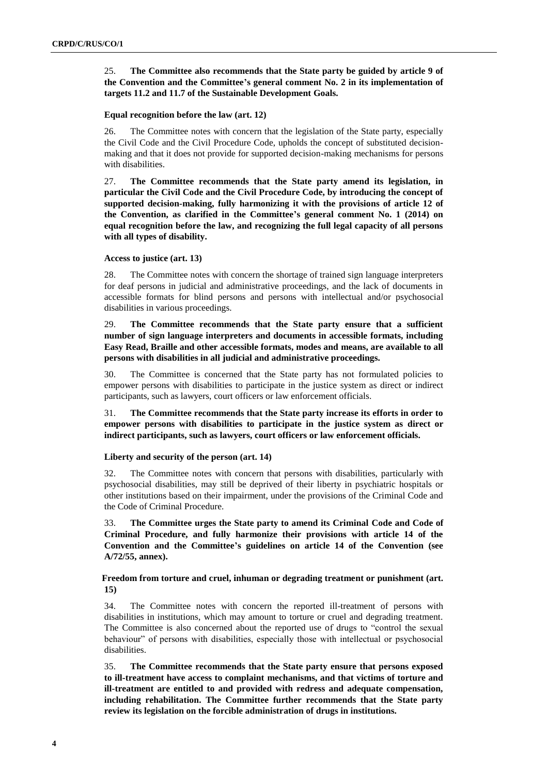25. **The Committee also recommends that the State party be guided by article 9 of the Convention and the Committee's general comment No. 2 in its implementation of targets 11.2 and 11.7 of the Sustainable Development Goals.**

#### **Equal recognition before the law (art. 12)**

26. The Committee notes with concern that the legislation of the State party, especially the Civil Code and the Civil Procedure Code, upholds the concept of substituted decisionmaking and that it does not provide for supported decision-making mechanisms for persons with disabilities.

27. **The Committee recommends that the State party amend its legislation, in particular the Civil Code and the Civil Procedure Code, by introducing the concept of supported decision-making, fully harmonizing it with the provisions of article 12 of the Convention, as clarified in the Committee's general comment No. 1 (2014) on equal recognition before the law, and recognizing the full legal capacity of all persons with all types of disability.**

#### **Access to justice (art. 13)**

28. The Committee notes with concern the shortage of trained sign language interpreters for deaf persons in judicial and administrative proceedings, and the lack of documents in accessible formats for blind persons and persons with intellectual and/or psychosocial disabilities in various proceedings.

29. **The Committee recommends that the State party ensure that a sufficient number of sign language interpreters and documents in accessible formats, including Easy Read, Braille and other accessible formats, modes and means, are available to all persons with disabilities in all judicial and administrative proceedings.** 

30. The Committee is concerned that the State party has not formulated policies to empower persons with disabilities to participate in the justice system as direct or indirect participants, such as lawyers, court officers or law enforcement officials.

31. **The Committee recommends that the State party increase its efforts in order to empower persons with disabilities to participate in the justice system as direct or indirect participants, such as lawyers, court officers or law enforcement officials.** 

#### **Liberty and security of the person (art. 14)**

32. The Committee notes with concern that persons with disabilities, particularly with psychosocial disabilities, may still be deprived of their liberty in psychiatric hospitals or other institutions based on their impairment, under the provisions of the Criminal Code and the Code of Criminal Procedure.

33. **The Committee urges the State party to amend its Criminal Code and Code of Criminal Procedure, and fully harmonize their provisions with article 14 of the Convention and the Committee's guidelines on article 14 of the Convention (see A/72/55, annex).** 

### **Freedom from torture and cruel, inhuman or degrading treatment or punishment (art. 15)**

34. The Committee notes with concern the reported ill-treatment of persons with disabilities in institutions, which may amount to torture or cruel and degrading treatment. The Committee is also concerned about the reported use of drugs to "control the sexual behaviour" of persons with disabilities, especially those with intellectual or psychosocial disabilities.

35. **The Committee recommends that the State party ensure that persons exposed to ill-treatment have access to complaint mechanisms, and that victims of torture and ill-treatment are entitled to and provided with redress and adequate compensation, including rehabilitation. The Committee further recommends that the State party review its legislation on the forcible administration of drugs in institutions.**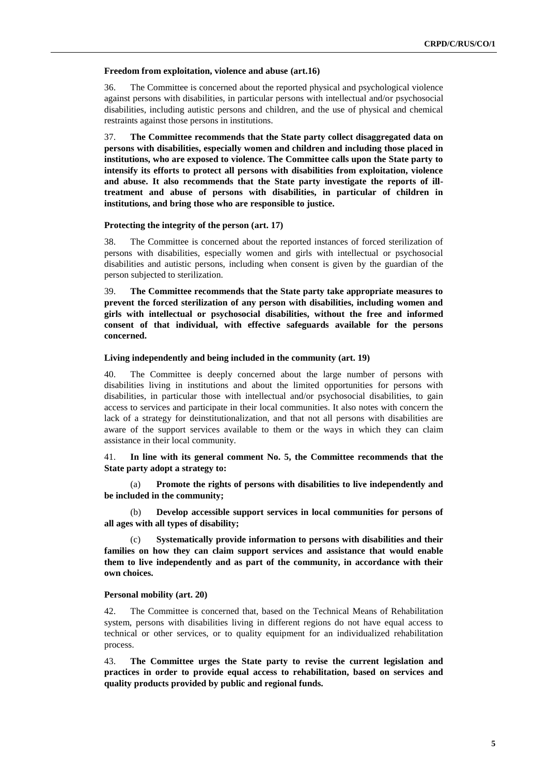#### **Freedom from exploitation, violence and abuse (art.16)**

36. The Committee is concerned about the reported physical and psychological violence against persons with disabilities, in particular persons with intellectual and/or psychosocial disabilities, including autistic persons and children, and the use of physical and chemical restraints against those persons in institutions.

37. **The Committee recommends that the State party collect disaggregated data on persons with disabilities, especially women and children and including those placed in institutions, who are exposed to violence. The Committee calls upon the State party to intensify its efforts to protect all persons with disabilities from exploitation, violence and abuse. It also recommends that the State party investigate the reports of illtreatment and abuse of persons with disabilities, in particular of children in institutions, and bring those who are responsible to justice.**

#### **Protecting the integrity of the person (art. 17)**

38. The Committee is concerned about the reported instances of forced sterilization of persons with disabilities, especially women and girls with intellectual or psychosocial disabilities and autistic persons, including when consent is given by the guardian of the person subjected to sterilization.

39. **The Committee recommends that the State party take appropriate measures to prevent the forced sterilization of any person with disabilities, including women and girls with intellectual or psychosocial disabilities, without the free and informed consent of that individual, with effective safeguards available for the persons concerned.**

#### **Living independently and being included in the community (art. 19)**

40. The Committee is deeply concerned about the large number of persons with disabilities living in institutions and about the limited opportunities for persons with disabilities, in particular those with intellectual and/or psychosocial disabilities, to gain access to services and participate in their local communities. It also notes with concern the lack of a strategy for deinstitutionalization, and that not all persons with disabilities are aware of the support services available to them or the ways in which they can claim assistance in their local community.

### 41. **In line with its general comment No. 5, the Committee recommends that the State party adopt a strategy to:**

(a) **Promote the rights of persons with disabilities to live independently and be included in the community;** 

(b) **Develop accessible support services in local communities for persons of all ages with all types of disability;** 

(c) **Systematically provide information to persons with disabilities and their families on how they can claim support services and assistance that would enable them to live independently and as part of the community, in accordance with their own choices.**

#### **Personal mobility (art. 20)**

42. The Committee is concerned that, based on the Technical Means of Rehabilitation system, persons with disabilities living in different regions do not have equal access to technical or other services, or to quality equipment for an individualized rehabilitation process.

43. **The Committee urges the State party to revise the current legislation and practices in order to provide equal access to rehabilitation, based on services and quality products provided by public and regional funds.**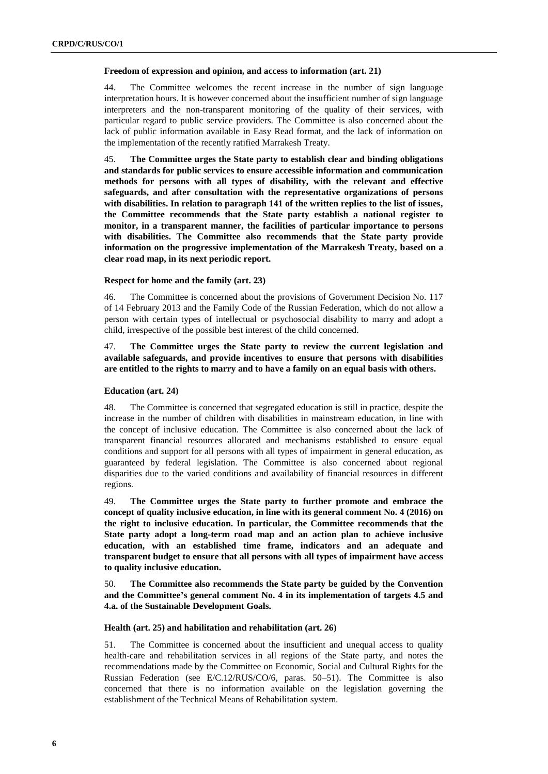#### **Freedom of expression and opinion, and access to information (art. 21)**

44. The Committee welcomes the recent increase in the number of sign language interpretation hours. It is however concerned about the insufficient number of sign language interpreters and the non-transparent monitoring of the quality of their services, with particular regard to public service providers. The Committee is also concerned about the lack of public information available in Easy Read format, and the lack of information on the implementation of the recently ratified Marrakesh Treaty.

45. **The Committee urges the State party to establish clear and binding obligations and standards for public services to ensure accessible information and communication methods for persons with all types of disability, with the relevant and effective safeguards, and after consultation with the representative organizations of persons with disabilities. In relation to paragraph 141 of the written replies to the list of issues, the Committee recommends that the State party establish a national register to monitor, in a transparent manner, the facilities of particular importance to persons with disabilities. The Committee also recommends that the State party provide information on the progressive implementation of the Marrakesh Treaty, based on a clear road map, in its next periodic report.**

#### **Respect for home and the family (art. 23)**

46. The Committee is concerned about the provisions of Government Decision No. 117 of 14 February 2013 and the Family Code of the Russian Federation, which do not allow a person with certain types of intellectual or psychosocial disability to marry and adopt a child, irrespective of the possible best interest of the child concerned.

## 47. **The Committee urges the State party to review the current legislation and available safeguards, and provide incentives to ensure that persons with disabilities are entitled to the rights to marry and to have a family on an equal basis with others.**

#### **Education (art. 24)**

48. The Committee is concerned that segregated education is still in practice, despite the increase in the number of children with disabilities in mainstream education, in line with the concept of inclusive education. The Committee is also concerned about the lack of transparent financial resources allocated and mechanisms established to ensure equal conditions and support for all persons with all types of impairment in general education, as guaranteed by federal legislation. The Committee is also concerned about regional disparities due to the varied conditions and availability of financial resources in different regions.

49. **The Committee urges the State party to further promote and embrace the concept of quality inclusive education, in line with its general comment No. 4 (2016) on the right to inclusive education. In particular, the Committee recommends that the State party adopt a long-term road map and an action plan to achieve inclusive education, with an established time frame, indicators and an adequate and transparent budget to ensure that all persons with all types of impairment have access to quality inclusive education.**

50. **The Committee also recommends the State party be guided by the Convention and the Committee's general comment No. 4 in its implementation of targets 4.5 and 4.a. of the Sustainable Development Goals.**

#### **Health (art. 25) and habilitation and rehabilitation (art. 26)**

51. The Committee is concerned about the insufficient and unequal access to quality health-care and rehabilitation services in all regions of the State party, and notes the recommendations made by the Committee on Economic, Social and Cultural Rights for the Russian Federation (see E/C.12/RUS/CO/6, paras. 50–51). The Committee is also concerned that there is no information available on the legislation governing the establishment of the Technical Means of Rehabilitation system.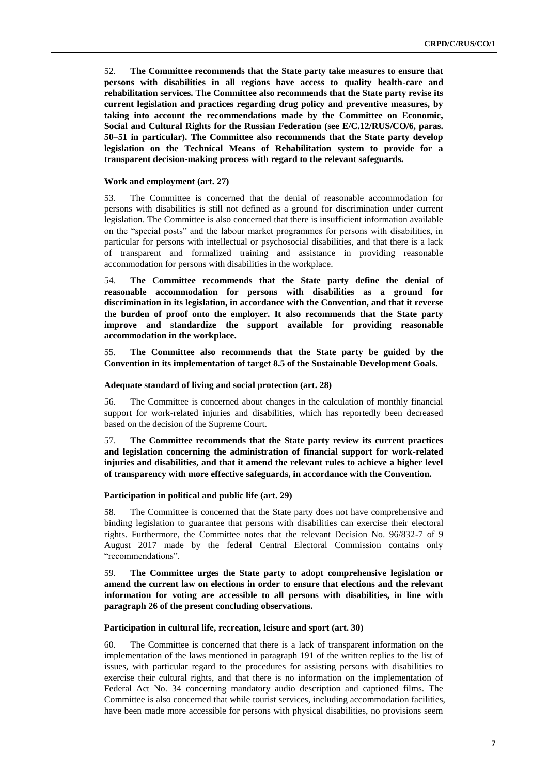52. **The Committee recommends that the State party take measures to ensure that persons with disabilities in all regions have access to quality health-care and rehabilitation services. The Committee also recommends that the State party revise its current legislation and practices regarding drug policy and preventive measures, by taking into account the recommendations made by the Committee on Economic, Social and Cultural Rights for the Russian Federation (see E/C.12/RUS/CO/6, paras. 50–51 in particular). The Committee also recommends that the State party develop legislation on the Technical Means of Rehabilitation system to provide for a transparent decision-making process with regard to the relevant safeguards.**

#### **Work and employment (art. 27)**

53. The Committee is concerned that the denial of reasonable accommodation for persons with disabilities is still not defined as a ground for discrimination under current legislation. The Committee is also concerned that there is insufficient information available on the "special posts" and the labour market programmes for persons with disabilities, in particular for persons with intellectual or psychosocial disabilities, and that there is a lack of transparent and formalized training and assistance in providing reasonable accommodation for persons with disabilities in the workplace.

54. **The Committee recommends that the State party define the denial of reasonable accommodation for persons with disabilities as a ground for discrimination in its legislation, in accordance with the Convention, and that it reverse the burden of proof onto the employer. It also recommends that the State party improve and standardize the support available for providing reasonable accommodation in the workplace.** 

55. **The Committee also recommends that the State party be guided by the Convention in its implementation of target 8.5 of the Sustainable Development Goals.** 

#### **Adequate standard of living and social protection (art. 28)**

56. The Committee is concerned about changes in the calculation of monthly financial support for work-related injuries and disabilities, which has reportedly been decreased based on the decision of the Supreme Court.

57. **The Committee recommends that the State party review its current practices and legislation concerning the administration of financial support for work-related injuries and disabilities, and that it amend the relevant rules to achieve a higher level of transparency with more effective safeguards, in accordance with the Convention.**

#### **Participation in political and public life (art. 29)**

58. The Committee is concerned that the State party does not have comprehensive and binding legislation to guarantee that persons with disabilities can exercise their electoral rights. Furthermore, the Committee notes that the relevant Decision No. 96/832-7 of 9 August 2017 made by the federal Central Electoral Commission contains only "recommendations".

### 59. **The Committee urges the State party to adopt comprehensive legislation or amend the current law on elections in order to ensure that elections and the relevant information for voting are accessible to all persons with disabilities, in line with paragraph 26 of the present concluding observations.**

#### **Participation in cultural life, recreation, leisure and sport (art. 30)**

60. The Committee is concerned that there is a lack of transparent information on the implementation of the laws mentioned in paragraph 191 of the written replies to the list of issues, with particular regard to the procedures for assisting persons with disabilities to exercise their cultural rights, and that there is no information on the implementation of Federal Act No. 34 concerning mandatory audio description and captioned films. The Committee is also concerned that while tourist services, including accommodation facilities, have been made more accessible for persons with physical disabilities, no provisions seem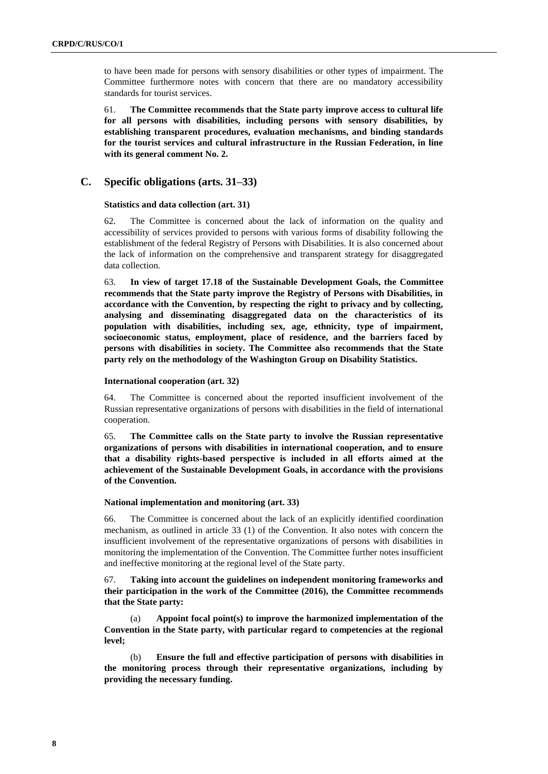to have been made for persons with sensory disabilities or other types of impairment. The Committee furthermore notes with concern that there are no mandatory accessibility standards for tourist services.

61. **The Committee recommends that the State party improve access to cultural life for all persons with disabilities, including persons with sensory disabilities, by establishing transparent procedures, evaluation mechanisms, and binding standards for the tourist services and cultural infrastructure in the Russian Federation, in line with its general comment No. 2.**

## **C. Specific obligations (arts. 31–33)**

#### **Statistics and data collection (art. 31)**

62. The Committee is concerned about the lack of information on the quality and accessibility of services provided to persons with various forms of disability following the establishment of the federal Registry of Persons with Disabilities. It is also concerned about the lack of information on the comprehensive and transparent strategy for disaggregated data collection.

63. **In view of target 17.18 of the Sustainable Development Goals, the Committee recommends that the State party improve the Registry of Persons with Disabilities, in accordance with the Convention, by respecting the right to privacy and by collecting, analysing and disseminating disaggregated data on the characteristics of its population with disabilities, including sex, age, ethnicity, type of impairment, socioeconomic status, employment, place of residence, and the barriers faced by persons with disabilities in society. The Committee also recommends that the State party rely on the methodology of the Washington Group on Disability Statistics.**

#### **International cooperation (art. 32)**

64. The Committee is concerned about the reported insufficient involvement of the Russian representative organizations of persons with disabilities in the field of international cooperation.

65. **The Committee calls on the State party to involve the Russian representative organizations of persons with disabilities in international cooperation, and to ensure that a disability rights-based perspective is included in all efforts aimed at the achievement of the Sustainable Development Goals, in accordance with the provisions of the Convention.**

#### **National implementation and monitoring (art. 33)**

66. The Committee is concerned about the lack of an explicitly identified coordination mechanism, as outlined in article 33 (1) of the Convention. It also notes with concern the insufficient involvement of the representative organizations of persons with disabilities in monitoring the implementation of the Convention. The Committee further notes insufficient and ineffective monitoring at the regional level of the State party.

67. **Taking into account the guidelines on independent monitoring frameworks and their participation in the work of the Committee (2016), the Committee recommends that the State party:**

(a) **Appoint focal point(s) to improve the harmonized implementation of the Convention in the State party, with particular regard to competencies at the regional level;** 

(b) **Ensure the full and effective participation of persons with disabilities in the monitoring process through their representative organizations, including by providing the necessary funding.**